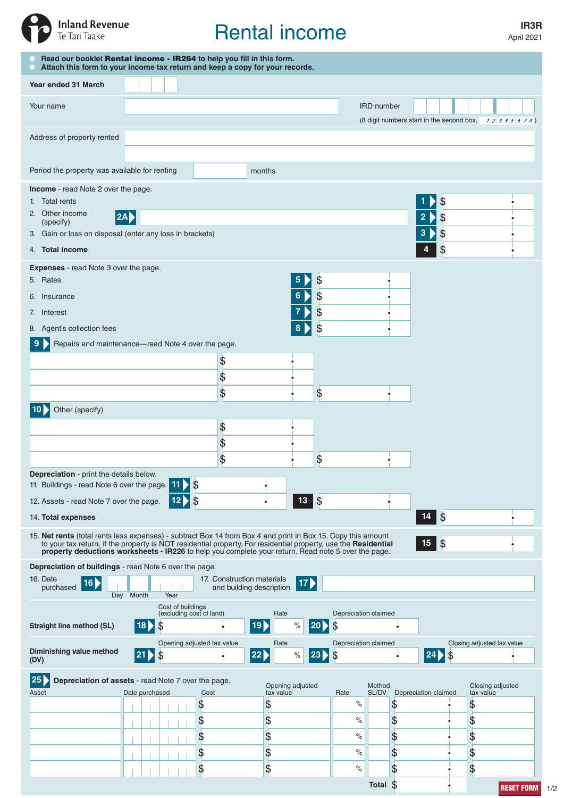

# Rental income

April 2021

| Read our booklet Rental income - IR264 to help you fill in this form.<br>Attach this form to your income tax return and keep a copy for your records.                                                                                                                                                                                              |                                               |      |                            |          |                               |      |                            |                   |                            |                      |                                                        |
|----------------------------------------------------------------------------------------------------------------------------------------------------------------------------------------------------------------------------------------------------------------------------------------------------------------------------------------------------|-----------------------------------------------|------|----------------------------|----------|-------------------------------|------|----------------------------|-------------------|----------------------------|----------------------|--------------------------------------------------------|
| Year ended 31 March                                                                                                                                                                                                                                                                                                                                |                                               |      |                            |          |                               |      |                            |                   |                            |                      |                                                        |
| Your name                                                                                                                                                                                                                                                                                                                                          |                                               |      |                            |          |                               |      |                            | <b>IRD</b> number |                            |                      |                                                        |
|                                                                                                                                                                                                                                                                                                                                                    |                                               |      |                            |          |                               |      |                            |                   |                            |                      | (8 digit numbers start in the second box. $12345678$ ) |
| Address of property rented                                                                                                                                                                                                                                                                                                                         |                                               |      |                            |          |                               |      |                            |                   |                            |                      |                                                        |
| Period the property was available for renting<br>months                                                                                                                                                                                                                                                                                            |                                               |      |                            |          |                               |      |                            |                   |                            |                      |                                                        |
| Income - read Note 2 over the page.                                                                                                                                                                                                                                                                                                                |                                               |      |                            |          |                               |      |                            |                   |                            |                      |                                                        |
| 1. Total rents<br>2. Other income<br> 2A                                                                                                                                                                                                                                                                                                           |                                               |      |                            |          |                               |      |                            |                   | \$<br>\$<br>$\overline{2}$ |                      |                                                        |
| (specify)<br>3. Gain or loss on disposal (enter any loss in brackets)                                                                                                                                                                                                                                                                              |                                               |      |                            |          |                               |      |                            |                   |                            | \$<br>3              |                                                        |
| 4. Total income                                                                                                                                                                                                                                                                                                                                    |                                               |      |                            |          |                               |      |                            |                   |                            | \$                   |                                                        |
| <b>Expenses</b> - read Note 3 over the page.                                                                                                                                                                                                                                                                                                       |                                               |      |                            |          |                               |      |                            |                   |                            |                      |                                                        |
| \$<br>5<br>5. Rates<br>\$<br>6<br>6. Insurance                                                                                                                                                                                                                                                                                                     |                                               |      |                            |          |                               |      |                            |                   |                            |                      |                                                        |
| \$<br>7. Interest                                                                                                                                                                                                                                                                                                                                  |                                               |      |                            |          |                               |      |                            |                   |                            |                      |                                                        |
| 8. Agent's collection fees                                                                                                                                                                                                                                                                                                                         |                                               |      |                            |          |                               | \$   |                            |                   |                            |                      |                                                        |
| Repairs and maintenance-read Note 4 over the page.                                                                                                                                                                                                                                                                                                 |                                               |      |                            |          |                               |      |                            |                   |                            |                      |                                                        |
|                                                                                                                                                                                                                                                                                                                                                    |                                               |      | \$<br>\$                   |          |                               |      |                            |                   |                            |                      |                                                        |
|                                                                                                                                                                                                                                                                                                                                                    |                                               |      | \$                         |          |                               | \$   |                            |                   |                            |                      |                                                        |
| Other (specify)                                                                                                                                                                                                                                                                                                                                    |                                               |      |                            |          |                               |      |                            |                   |                            |                      |                                                        |
|                                                                                                                                                                                                                                                                                                                                                    |                                               |      | \$                         |          |                               |      |                            |                   |                            |                      |                                                        |
|                                                                                                                                                                                                                                                                                                                                                    |                                               |      | \$<br>\$                   |          |                               | \$   |                            |                   |                            |                      |                                                        |
| Depreciation - print the details below.                                                                                                                                                                                                                                                                                                            |                                               |      |                            |          |                               |      |                            |                   |                            |                      |                                                        |
| 11. Buildings - read Note 6 over the page. 11<br>\$<br>$13 \, \overline{\phantom{0}}\,$ \$                                                                                                                                                                                                                                                         |                                               |      |                            |          |                               |      |                            |                   |                            |                      |                                                        |
| 12. Assets - read Note 7 over the page.<br>14. Total expenses                                                                                                                                                                                                                                                                                      |                                               | 12   | $\frac{1}{2}$              |          |                               |      |                            |                   |                            | $\sqrt{3}$<br>14     |                                                        |
|                                                                                                                                                                                                                                                                                                                                                    |                                               |      |                            |          |                               |      |                            |                   |                            |                      |                                                        |
| 15. Net rents (total rents less expenses) - subtract Box 14 from Box 4 and print in Box 15. Copy this amount<br> \$<br>15<br>to your tax return, if the property is NOT residential property. For residential property, use the Residential<br>property deductions worksheets - IR226 to help you complete your return. Read note 5 over the page. |                                               |      |                            |          |                               |      |                            |                   |                            |                      |                                                        |
| Depreciation of buildings - read Note 6 over the page.<br>17. Construction materials<br>16. Date                                                                                                                                                                                                                                                   |                                               |      |                            |          |                               |      |                            |                   |                            |                      |                                                        |
| 16<br>purchased                                                                                                                                                                                                                                                                                                                                    | Day Month                                     | Year | and building description   |          | 17)                           |      |                            |                   |                            |                      |                                                        |
|                                                                                                                                                                                                                                                                                                                                                    | Cost of buildings<br>(excluding cost of land) |      |                            | Rate     |                               |      | Depreciation claimed       |                   |                            |                      |                                                        |
| Straight line method (SL)                                                                                                                                                                                                                                                                                                                          | 18                                            | \$   |                            | 19)      | $\%$                          | 20 D | \$                         |                   |                            |                      |                                                        |
| Diminishing value method<br>(DV)                                                                                                                                                                                                                                                                                                                   | $ 21\rangle$                                  | \$   | Opening adjusted tax value | 22)      | Rate<br>$\%$                  | 23   | Depreciation claimed<br>\$ |                   |                            | 24<br>\$             | Closing adjusted tax value                             |
| 25<br>Depreciation of assets - read Note 7 over the page.                                                                                                                                                                                                                                                                                          |                                               |      |                            |          |                               |      |                            |                   |                            |                      |                                                        |
| Asset                                                                                                                                                                                                                                                                                                                                              | Date purchased                                |      | Cost                       |          | Opening adjusted<br>tax value |      | Rate                       | Method<br>SL/DV   |                            | Depreciation claimed | Closing adjusted<br>tax value                          |
|                                                                                                                                                                                                                                                                                                                                                    |                                               |      | \$<br>\$                   | \$<br>\$ |                               |      | $\%$<br>$\%$               |                   | \$<br>\$                   |                      | \$<br>\$                                               |
|                                                                                                                                                                                                                                                                                                                                                    |                                               |      | \$                         | \$       |                               |      | $\%$                       |                   | \$                         |                      | \$                                                     |
|                                                                                                                                                                                                                                                                                                                                                    |                                               |      | \$                         | \$       |                               |      | $\%$                       |                   | \$                         |                      | \$                                                     |
|                                                                                                                                                                                                                                                                                                                                                    |                                               |      | \$                         | \$       |                               |      | $\%$                       |                   | \$                         |                      | \$                                                     |
|                                                                                                                                                                                                                                                                                                                                                    |                                               |      |                            |          |                               |      |                            | Total \$          |                            |                      | <b>RESET FORM</b>                                      |